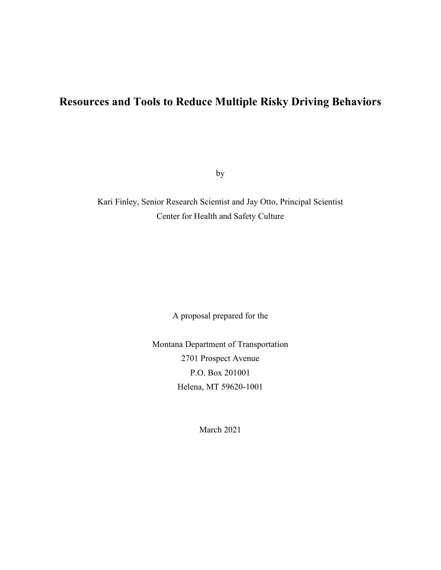# **Resources and Tools to Reduce Multiple Risky Driving Behaviors**

by

Kari Finley, Senior Research Scientist and Jay Otto, Principal Scientist Center for Health and Safety Culture

A proposal prepared for the

Montana Department of Transportation 2701 Prospect Avenue P.O. Box 201001 Helena, MT 59620-1001

March 2021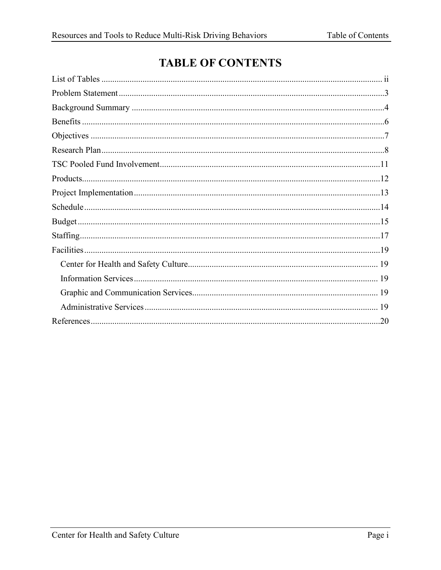# **TABLE OF CONTENTS**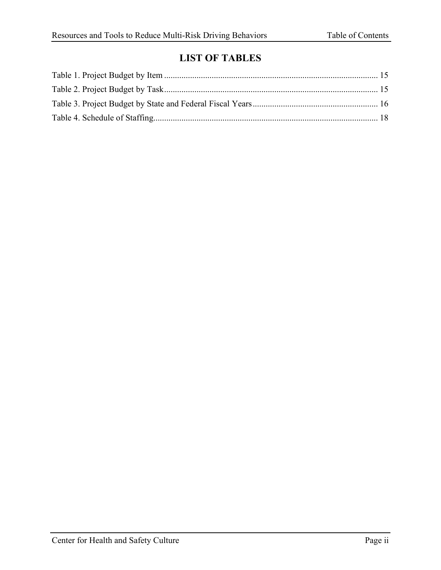### **LIST OF TABLES**

<span id="page-2-0"></span>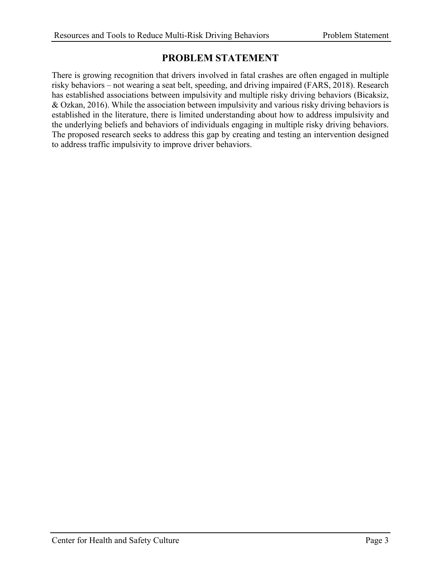#### **PROBLEM STATEMENT**

<span id="page-3-0"></span>There is growing recognition that drivers involved in fatal crashes are often engaged in multiple risky behaviors – not wearing a seat belt, speeding, and driving impaired (FARS, 2018). Research has established associations between impulsivity and multiple risky driving behaviors (Bicaksiz, & Ozkan, 2016). While the association between impulsivity and various risky driving behaviors is established in the literature, there is limited understanding about how to address impulsivity and the underlying beliefs and behaviors of individuals engaging in multiple risky driving behaviors. The proposed research seeks to address this gap by creating and testing an intervention designed to address traffic impulsivity to improve driver behaviors.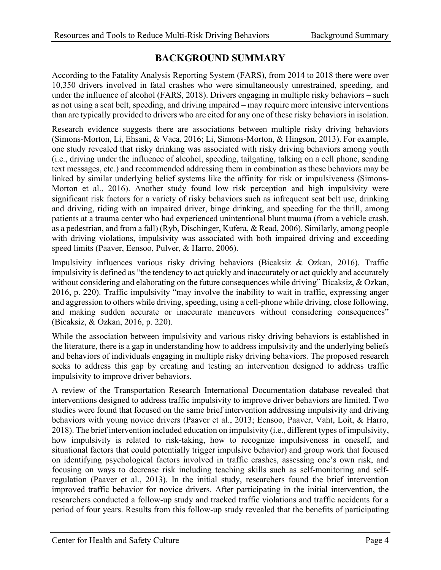### **BACKGROUND SUMMARY**

<span id="page-4-0"></span>According to the Fatality Analysis Reporting System (FARS), from 2014 to 2018 there were over 10,350 drivers involved in fatal crashes who were simultaneously unrestrained, speeding, and under the influence of alcohol (FARS, 2018). Drivers engaging in multiple risky behaviors – such as not using a seat belt, speeding, and driving impaired – may require more intensive interventions than are typically provided to drivers who are cited for any one of these risky behaviors in isolation.

Research evidence suggests there are associations between multiple risky driving behaviors (Simons-Morton, Li, Ehsani, & Vaca, 2016; Li, Simons-Morton, & Hingson, 2013). For example, one study revealed that risky drinking was associated with risky driving behaviors among youth (i.e., driving under the influence of alcohol, speeding, tailgating, talking on a cell phone, sending text messages, etc.) and recommended addressing them in combination as these behaviors may be linked by similar underlying belief systems like the affinity for risk or impulsiveness (Simons-Morton et al., 2016). Another study found low risk perception and high impulsivity were significant risk factors for a variety of risky behaviors such as infrequent seat belt use, drinking and driving, riding with an impaired driver, binge drinking, and speeding for the thrill, among patients at a trauma center who had experienced unintentional blunt trauma (from a vehicle crash, as a pedestrian, and from a fall) (Ryb, Dischinger, Kufera, & Read, 2006). Similarly, among people with driving violations, impulsivity was associated with both impaired driving and exceeding speed limits (Paaver, Eensoo, Pulver, & Harro, 2006).

Impulsivity influences various risky driving behaviors (Bicaksiz & Ozkan, 2016). Traffic impulsivity is defined as "the tendency to act quickly and inaccurately or act quickly and accurately without considering and elaborating on the future consequences while driving" Bicaksiz, & Ozkan, 2016, p. 220). Traffic impulsivity "may involve the inability to wait in traffic, expressing anger and aggression to others while driving, speeding, using a cell-phone while driving, close following, and making sudden accurate or inaccurate maneuvers without considering consequences" (Bicaksiz, & Ozkan, 2016, p. 220).

While the association between impulsivity and various risky driving behaviors is established in the literature, there is a gap in understanding how to address impulsivity and the underlying beliefs and behaviors of individuals engaging in multiple risky driving behaviors. The proposed research seeks to address this gap by creating and testing an intervention designed to address traffic impulsivity to improve driver behaviors.

A review of the Transportation Research International Documentation database revealed that interventions designed to address traffic impulsivity to improve driver behaviors are limited. Two studies were found that focused on the same brief intervention addressing impulsivity and driving behaviors with young novice drivers (Paaver et al., 2013; Eensoo, Paaver, Vaht, Loit, & Harro, 2018). The brief intervention included education on impulsivity (i.e., different types of impulsivity, how impulsivity is related to risk-taking, how to recognize impulsiveness in oneself, and situational factors that could potentially trigger impulsive behavior) and group work that focused on identifying psychological factors involved in traffic crashes, assessing one's own risk, and focusing on ways to decrease risk including teaching skills such as self-monitoring and selfregulation (Paaver et al., 2013). In the initial study, researchers found the brief intervention improved traffic behavior for novice drivers. After participating in the initial intervention, the researchers conducted a follow-up study and tracked traffic violations and traffic accidents for a period of four years. Results from this follow-up study revealed that the benefits of participating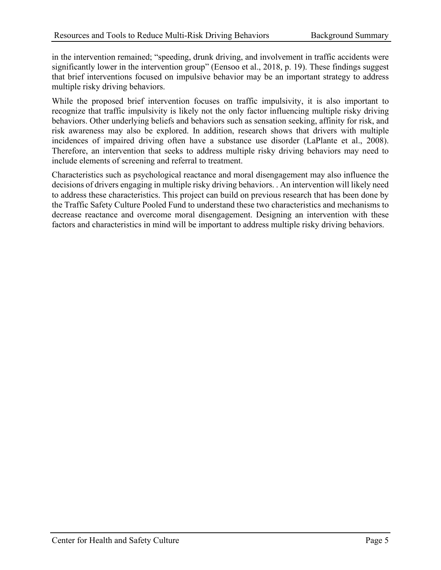in the intervention remained; "speeding, drunk driving, and involvement in traffic accidents were significantly lower in the intervention group" (Eensoo et al., 2018, p. 19). These findings suggest that brief interventions focused on impulsive behavior may be an important strategy to address multiple risky driving behaviors.

While the proposed brief intervention focuses on traffic impulsivity, it is also important to recognize that traffic impulsivity is likely not the only factor influencing multiple risky driving behaviors. Other underlying beliefs and behaviors such as sensation seeking, affinity for risk, and risk awareness may also be explored. In addition, research shows that drivers with multiple incidences of impaired driving often have a substance use disorder (LaPlante et al., 2008). Therefore, an intervention that seeks to address multiple risky driving behaviors may need to include elements of screening and referral to treatment.

Characteristics such as psychological reactance and moral disengagement may also influence the decisions of drivers engaging in multiple risky driving behaviors. . An intervention will likely need to address these characteristics. This project can build on previous research that has been done by the Traffic Safety Culture Pooled Fund to understand these two characteristics and mechanisms to decrease reactance and overcome moral disengagement. Designing an intervention with these factors and characteristics in mind will be important to address multiple risky driving behaviors.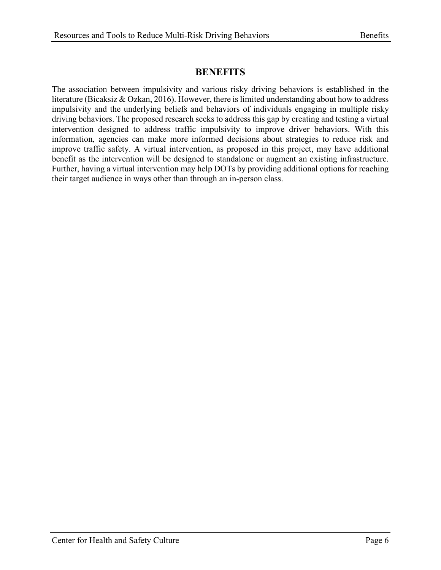### **BENEFITS**

<span id="page-6-0"></span>The association between impulsivity and various risky driving behaviors is established in the literature (Bicaksiz & Ozkan, 2016). However, there is limited understanding about how to address impulsivity and the underlying beliefs and behaviors of individuals engaging in multiple risky driving behaviors. The proposed research seeks to address this gap by creating and testing a virtual intervention designed to address traffic impulsivity to improve driver behaviors. With this information, agencies can make more informed decisions about strategies to reduce risk and improve traffic safety. A virtual intervention, as proposed in this project, may have additional benefit as the intervention will be designed to standalone or augment an existing infrastructure. Further, having a virtual intervention may help DOTs by providing additional options for reaching their target audience in ways other than through an in-person class.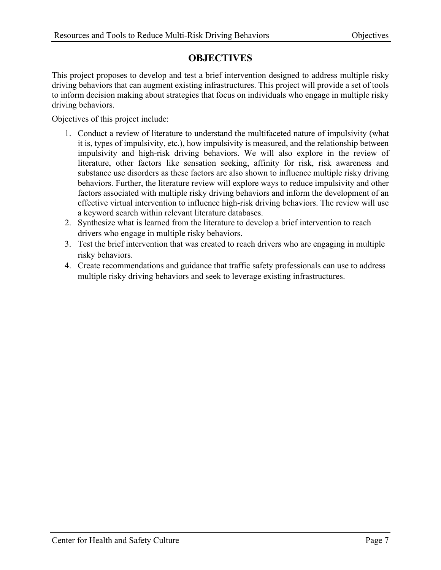#### **OBJECTIVES**

<span id="page-7-0"></span>This project proposes to develop and test a brief intervention designed to address multiple risky driving behaviors that can augment existing infrastructures. This project will provide a set of tools to inform decision making about strategies that focus on individuals who engage in multiple risky driving behaviors.

Objectives of this project include:

- 1. Conduct a review of literature to understand the multifaceted nature of impulsivity (what it is, types of impulsivity, etc.), how impulsivity is measured, and the relationship between impulsivity and high-risk driving behaviors. We will also explore in the review of literature, other factors like sensation seeking, affinity for risk, risk awareness and substance use disorders as these factors are also shown to influence multiple risky driving behaviors. Further, the literature review will explore ways to reduce impulsivity and other factors associated with multiple risky driving behaviors and inform the development of an effective virtual intervention to influence high-risk driving behaviors. The review will use a keyword search within relevant literature databases.
- 2. Synthesize what is learned from the literature to develop a brief intervention to reach drivers who engage in multiple risky behaviors.
- 3. Test the brief intervention that was created to reach drivers who are engaging in multiple risky behaviors.
- 4. Create recommendations and guidance that traffic safety professionals can use to address multiple risky driving behaviors and seek to leverage existing infrastructures.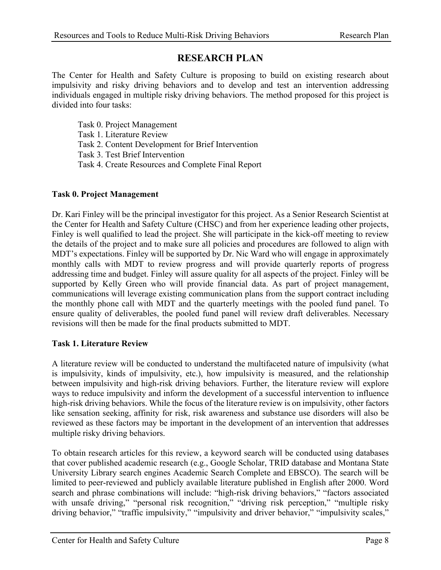#### **RESEARCH PLAN**

<span id="page-8-0"></span>The Center for Health and Safety Culture is proposing to build on existing research about impulsivity and risky driving behaviors and to develop and test an intervention addressing individuals engaged in multiple risky driving behaviors. The method proposed for this project is divided into four tasks:

Task 0. Project Management Task 1. Literature Review Task 2. Content Development for Brief Intervention Task 3. Test Brief Intervention

Task 4. Create Resources and Complete Final Report

#### **Task 0. Project Management**

Dr. Kari Finley will be the principal investigator for this project. As a Senior Research Scientist at the Center for Health and Safety Culture (CHSC) and from her experience leading other projects, Finley is well qualified to lead the project. She will participate in the kick-off meeting to review the details of the project and to make sure all policies and procedures are followed to align with MDT's expectations. Finley will be supported by Dr. Nic Ward who will engage in approximately monthly calls with MDT to review progress and will provide quarterly reports of progress addressing time and budget. Finley will assure quality for all aspects of the project. Finley will be supported by Kelly Green who will provide financial data. As part of project management, communications will leverage existing communication plans from the support contract including the monthly phone call with MDT and the quarterly meetings with the pooled fund panel. To ensure quality of deliverables, the pooled fund panel will review draft deliverables. Necessary revisions will then be made for the final products submitted to MDT.

#### **Task 1. Literature Review**

A literature review will be conducted to understand the multifaceted nature of impulsivity (what is impulsivity, kinds of impulsivity, etc.), how impulsivity is measured, and the relationship between impulsivity and high-risk driving behaviors. Further, the literature review will explore ways to reduce impulsivity and inform the development of a successful intervention to influence high-risk driving behaviors. While the focus of the literature review is on impulsivity, other factors like sensation seeking, affinity for risk, risk awareness and substance use disorders will also be reviewed as these factors may be important in the development of an intervention that addresses multiple risky driving behaviors.

To obtain research articles for this review, a keyword search will be conducted using databases that cover published academic research (e.g., Google Scholar, TRID database and Montana State University Library search engines Academic Search Complete and EBSCO). The search will be limited to peer-reviewed and publicly available literature published in English after 2000. Word search and phrase combinations will include: "high-risk driving behaviors," "factors associated with unsafe driving," "personal risk recognition," "driving risk perception," "multiple risky driving behavior," "traffic impulsivity," "impulsivity and driver behavior," "impulsivity scales,"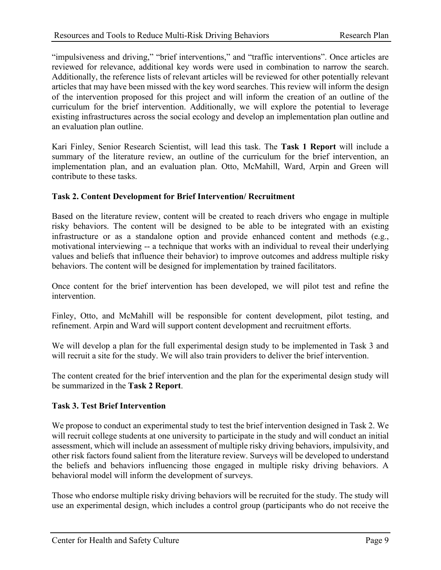"impulsiveness and driving," "brief interventions," and "traffic interventions". Once articles are reviewed for relevance, additional key words were used in combination to narrow the search. Additionally, the reference lists of relevant articles will be reviewed for other potentially relevant articles that may have been missed with the key word searches. This review will inform the design of the intervention proposed for this project and will inform the creation of an outline of the curriculum for the brief intervention. Additionally, we will explore the potential to leverage existing infrastructures across the social ecology and develop an implementation plan outline and an evaluation plan outline.

Kari Finley, Senior Research Scientist, will lead this task. The **Task 1 Report** will include a summary of the literature review, an outline of the curriculum for the brief intervention, an implementation plan, and an evaluation plan. Otto, McMahill, Ward, Arpin and Green will contribute to these tasks.

#### **Task 2. Content Development for Brief Intervention/ Recruitment**

Based on the literature review, content will be created to reach drivers who engage in multiple risky behaviors. The content will be designed to be able to be integrated with an existing infrastructure or as a standalone option and provide enhanced content and methods (e.g., motivational interviewing -- a technique that works with an individual to reveal their underlying values and beliefs that influence their behavior) to improve outcomes and address multiple risky behaviors. The content will be designed for implementation by trained facilitators.

Once content for the brief intervention has been developed, we will pilot test and refine the intervention.

Finley, Otto, and McMahill will be responsible for content development, pilot testing, and refinement. Arpin and Ward will support content development and recruitment efforts.

We will develop a plan for the full experimental design study to be implemented in Task 3 and will recruit a site for the study. We will also train providers to deliver the brief intervention.

The content created for the brief intervention and the plan for the experimental design study will be summarized in the **Task 2 Report**.

#### **Task 3. Test Brief Intervention**

We propose to conduct an experimental study to test the brief intervention designed in Task 2. We will recruit college students at one university to participate in the study and will conduct an initial assessment, which will include an assessment of multiple risky driving behaviors, impulsivity, and other risk factors found salient from the literature review. Surveys will be developed to understand the beliefs and behaviors influencing those engaged in multiple risky driving behaviors. A behavioral model will inform the development of surveys.

Those who endorse multiple risky driving behaviors will be recruited for the study. The study will use an experimental design, which includes a control group (participants who do not receive the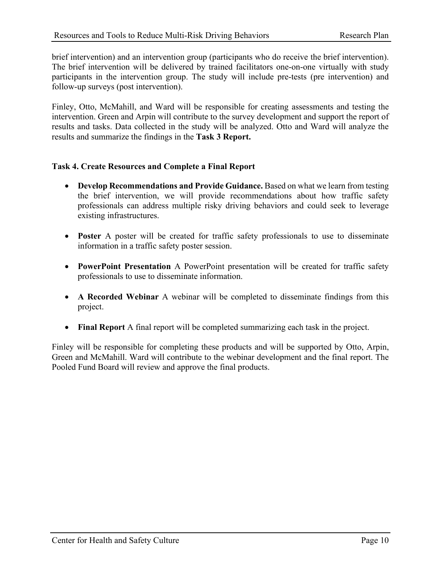brief intervention) and an intervention group (participants who do receive the brief intervention). The brief intervention will be delivered by trained facilitators one-on-one virtually with study participants in the intervention group. The study will include pre-tests (pre intervention) and follow-up surveys (post intervention).

Finley, Otto, McMahill, and Ward will be responsible for creating assessments and testing the intervention. Green and Arpin will contribute to the survey development and support the report of results and tasks. Data collected in the study will be analyzed. Otto and Ward will analyze the results and summarize the findings in the **Task 3 Report.**

#### **Task 4. Create Resources and Complete a Final Report**

- **Develop Recommendations and Provide Guidance.** Based on what we learn from testing the brief intervention, we will provide recommendations about how traffic safety professionals can address multiple risky driving behaviors and could seek to leverage existing infrastructures.
- **Poster** A poster will be created for traffic safety professionals to use to disseminate information in a traffic safety poster session.
- **PowerPoint Presentation** A PowerPoint presentation will be created for traffic safety professionals to use to disseminate information.
- **A Recorded Webinar** A webinar will be completed to disseminate findings from this project.
- **Final Report** A final report will be completed summarizing each task in the project.

Finley will be responsible for completing these products and will be supported by Otto, Arpin, Green and McMahill. Ward will contribute to the webinar development and the final report. The Pooled Fund Board will review and approve the final products.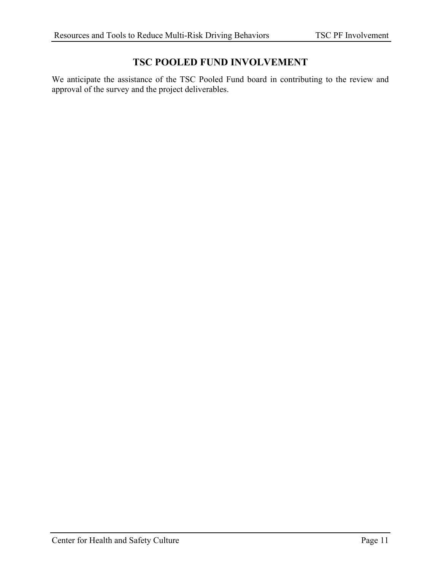### **TSC POOLED FUND INVOLVEMENT**

<span id="page-11-0"></span>We anticipate the assistance of the TSC Pooled Fund board in contributing to the review and approval of the survey and the project deliverables.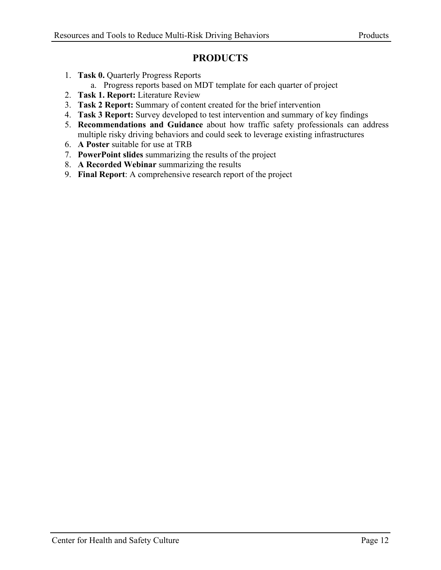### **PRODUCTS**

- <span id="page-12-0"></span>1. **Task 0.** Quarterly Progress Reports
	- a. Progress reports based on MDT template for each quarter of project
- 2. **Task 1. Report:** Literature Review
- 3. **Task 2 Report:** Summary of content created for the brief intervention
- 4. **Task 3 Report:** Survey developed to test intervention and summary of key findings
- 5. **Recommendations and Guidance** about how traffic safety professionals can address multiple risky driving behaviors and could seek to leverage existing infrastructures
- 6. **A Poster** suitable for use at TRB
- 7. **PowerPoint slides** summarizing the results of the project
- 8. **A Recorded Webinar** summarizing the results
- 9. **Final Report**: A comprehensive research report of the project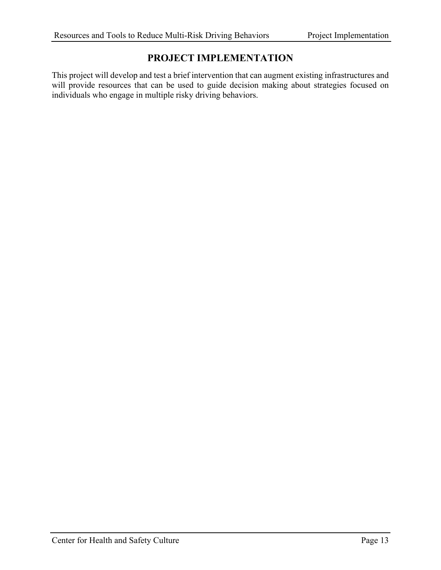#### **PROJECT IMPLEMENTATION**

<span id="page-13-0"></span>This project will develop and test a brief intervention that can augment existing infrastructures and will provide resources that can be used to guide decision making about strategies focused on individuals who engage in multiple risky driving behaviors.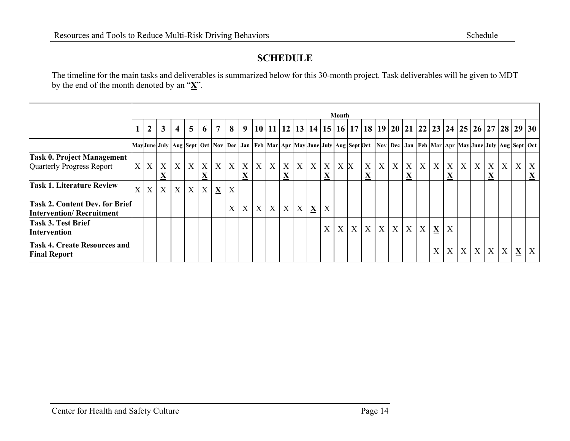### **SCHEDULE**

The timeline for the main tasks and deliverables is summarized below for this 30-month project. Task deliverables will be given to MDT by the end of the month denoted by an "**X**".

<span id="page-14-0"></span>

|                                                                          | Month             |                |              |                |                |                               |                |                |                |                |  |            |                |   |                              |     |   |                                              |                           |   |               |                           |             |                               |              |                  |                |                  |   |                                                                                                                                                              |
|--------------------------------------------------------------------------|-------------------|----------------|--------------|----------------|----------------|-------------------------------|----------------|----------------|----------------|----------------|--|------------|----------------|---|------------------------------|-----|---|----------------------------------------------|---------------------------|---|---------------|---------------------------|-------------|-------------------------------|--------------|------------------|----------------|------------------|---|--------------------------------------------------------------------------------------------------------------------------------------------------------------|
|                                                                          |                   | $\overline{2}$ | $\mathbf{3}$ | $\overline{4}$ | 5 <sup>1</sup> | 6                             | $\overline{7}$ | 8 <sup>1</sup> | 9 <sup>1</sup> |                |  |            |                |   |                              |     |   |                                              |                           |   |               |                           |             |                               |              |                  |                |                  |   | 10   11   12   13   14   15   16   17   18   19   20   21   22   23   24   25   26   27   28   29   30                                                       |
|                                                                          |                   |                |              |                |                |                               |                |                |                |                |  |            |                |   |                              |     |   |                                              |                           |   |               |                           |             |                               |              |                  |                |                  |   | MayJune July  Aug  Sept  Oct  Nov  Dec   Jan   Feb  Mar   Apr  May June July  Aug  Sept Oct  Nov   Dec   Jan   Feb  Mar   Apr  May June July  Aug  Sept  Oct |
| <b>Task 0. Project Management</b><br>Quarterly Progress Report           | X                 | X              | X<br>X       | X              | X              | X<br>$\mathbf{\underline{X}}$ | X              | X              | X<br>X         |                |  | X          |                |   | $X$ $X$ $X$ $X$ $X$ $X$<br>X | X X |   | $\boldsymbol{X}$<br>$\underline{\mathbf{X}}$ | $\boldsymbol{\mathrm{X}}$ | X | X<br><u>Δ</u> | $\boldsymbol{\mathrm{X}}$ | X           | $\boldsymbol{X}$<br>$\Lambda$ | $\mathbf{X}$ | $\boldsymbol{X}$ | X<br>$\Lambda$ | $\boldsymbol{X}$ | X | $\boldsymbol{X}$<br>$\mathbf{\underline{X}}$                                                                                                                 |
| <b>Task 1. Literature Review</b>                                         | $X_{\mathcal{C}}$ | X <sub>1</sub> | X            | X              | X              | $X_{\mathcal{I}}$             | X              | X              |                |                |  |            |                |   |                              |     |   |                                              |                           |   |               |                           |             |                               |              |                  |                |                  |   |                                                                                                                                                              |
| <b>Task 2. Content Dev. for Brief</b><br><b>Intervention/Recruitment</b> |                   |                |              |                |                |                               |                | X              | X              | X <sub>1</sub> |  | $X \mid X$ | X <sub>1</sub> | X | X                            |     |   |                                              |                           |   |               |                           |             |                               |              |                  |                |                  |   |                                                                                                                                                              |
| <b>Task 3. Test Brief</b><br><b>Intervention</b>                         |                   |                |              |                |                |                               |                |                |                |                |  |            |                |   | X                            | X   | X | X                                            | X                         | X | X             | $\mathbf X$               | $\mathbf X$ | X                             |              |                  |                |                  |   |                                                                                                                                                              |
| <b>Task 4. Create Resources and</b><br><b>Final Report</b>               |                   |                |              |                |                |                               |                |                |                |                |  |            |                |   |                              |     |   |                                              |                           |   |               |                           | X           | X                             | X            | X                | X              | X                | X | X                                                                                                                                                            |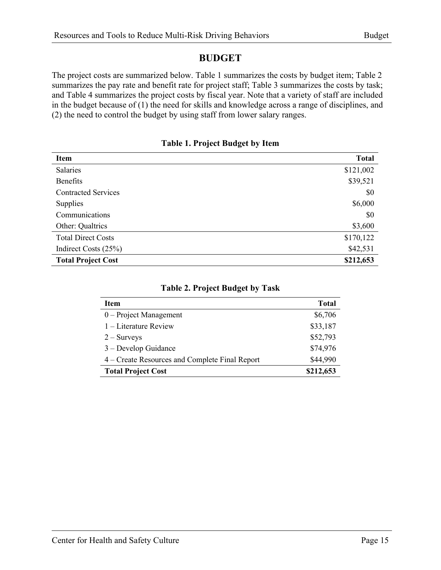#### **BUDGET**

<span id="page-15-0"></span>The project costs are summarized below. [Table 1](#page-15-1) summarizes the costs by budget item; Table 2 summarizes the pay rate and benefit rate for project staff; [Table 3](#page-15-2) summarizes the costs by task; and [Table 4](#page-15-4) summarizes the project costs by fiscal year. Note that a variety of staff are included in the budget because of (1) the need for skills and knowledge across a range of disciplines, and (2) the need to control the budget by using staff from lower salary ranges.

|  |  | <b>Table 1. Project Budget by Item</b> |  |  |  |
|--|--|----------------------------------------|--|--|--|
|--|--|----------------------------------------|--|--|--|

<span id="page-15-1"></span>

| <b>Item</b>                | <b>Total</b> |
|----------------------------|--------------|
| Salaries                   | \$121,002    |
| <b>Benefits</b>            | \$39,521     |
| <b>Contracted Services</b> | \$0          |
| Supplies                   | \$6,000      |
| Communications             | \$0          |
| Other: Qualtrics           | \$3,600      |
| <b>Total Direct Costs</b>  | \$170,122    |
| Indirect Costs (25%)       | \$42,531     |
| <b>Total Project Cost</b>  | \$212,653    |

<span id="page-15-4"></span><span id="page-15-3"></span><span id="page-15-2"></span>

| <b>Item</b>                                    | <b>Total</b> |
|------------------------------------------------|--------------|
| $0$ – Project Management                       | \$6,706      |
| $1$ – Literature Review                        | \$33,187     |
| $2 -$ Surveys                                  | \$52,793     |
| 3 – Develop Guidance                           | \$74,976     |
| 4 – Create Resources and Complete Final Report | \$44,990     |
| <b>Total Project Cost</b>                      | \$212,653    |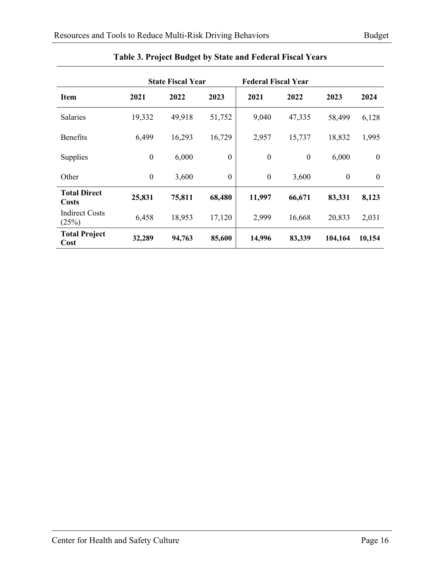|                                |                  | <b>State Fiscal Year</b> |                  | <b>Federal Fiscal Year</b> |                  |              |              |
|--------------------------------|------------------|--------------------------|------------------|----------------------------|------------------|--------------|--------------|
| <b>Item</b>                    | 2021             | 2022                     | 2023             | 2021                       | 2022             | 2023         | 2024         |
| <b>Salaries</b>                | 19,332           | 49,918                   | 51,752           | 9,040                      | 47,335           | 58,499       | 6,128        |
| <b>Benefits</b>                | 6,499            | 16,293                   | 16,729           | 2,957                      | 15,737           | 18,832       | 1,995        |
| Supplies                       | $\boldsymbol{0}$ | 6,000                    | $\boldsymbol{0}$ | $\boldsymbol{0}$           | $\boldsymbol{0}$ | 6,000        | $\mathbf{0}$ |
| Other                          | $\boldsymbol{0}$ | 3,600                    | $\theta$         | $\boldsymbol{0}$           | 3,600            | $\mathbf{0}$ | $\mathbf{0}$ |
| <b>Total Direct</b><br>Costs   | 25,831           | 75,811                   | 68,480           | 11,997                     | 66,671           | 83,331       | 8,123        |
| <b>Indirect Costs</b><br>(25%) | 6,458            | 18,953                   | 17,120           | 2,999                      | 16,668           | 20,833       | 2,031        |
| <b>Total Project</b><br>Cost   | 32,289           | 94,763                   | 85,600           | 14,996                     | 83,339           | 104,164      | 10,154       |

#### **Table 3. Project Budget by State and Federal Fiscal Years**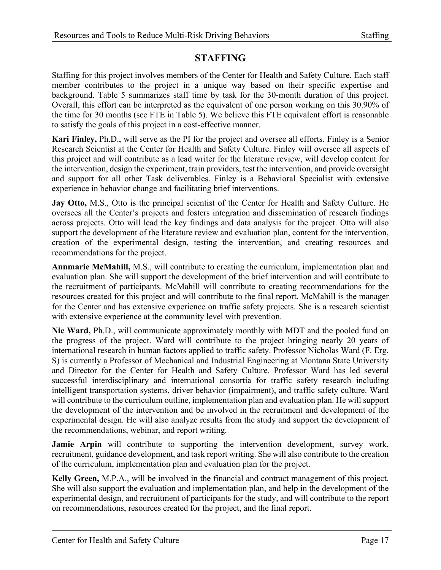### **STAFFING**

<span id="page-17-0"></span>Staffing for this project involves members of the Center for Health and Safety Culture. Each staff member contributes to the project in a unique way based on their specific expertise and background. [Table 5](#page-18-0) summarizes staff time by task for the 30-month duration of this project. Overall, this effort can be interpreted as the equivalent of one person working on this 30.90% of the time for 30 months (see FTE in [Table 5\)](#page-18-0). We believe this FTE equivalent effort is reasonable to satisfy the goals of this project in a cost-effective manner.

**Kari Finley,** Ph.D., will serve as the PI for the project and oversee all efforts. Finley is a Senior Research Scientist at the Center for Health and Safety Culture. Finley will oversee all aspects of this project and will contribute as a lead writer for the literature review, will develop content for the intervention, design the experiment, train providers, test the intervention, and provide oversight and support for all other Task deliverables. Finley is a Behavioral Specialist with extensive experience in behavior change and facilitating brief interventions.

**Jay Otto,** M.S., Otto is the principal scientist of the Center for Health and Safety Culture. He oversees all the Center's projects and fosters integration and dissemination of research findings across projects. Otto will lead the key findings and data analysis for the project. Otto will also support the development of the literature review and evaluation plan, content for the intervention, creation of the experimental design, testing the intervention, and creating resources and recommendations for the project.

**Annmarie McMahill,** M.S., will contribute to creating the curriculum, implementation plan and evaluation plan. She will support the development of the brief intervention and will contribute to the recruitment of participants. McMahill will contribute to creating recommendations for the resources created for this project and will contribute to the final report. McMahill is the manager for the Center and has extensive experience on traffic safety projects. She is a research scientist with extensive experience at the community level with prevention.

**Nic Ward,** Ph.D., will communicate approximately monthly with MDT and the pooled fund on the progress of the project. Ward will contribute to the project bringing nearly 20 years of international research in human factors applied to traffic safety. Professor Nicholas Ward (F. Erg. S) is currently a Professor of Mechanical and Industrial Engineering at Montana State University and Director for the Center for Health and Safety Culture. Professor Ward has led several successful interdisciplinary and international consortia for traffic safety research including intelligent transportation systems, driver behavior (impairment), and traffic safety culture. Ward will contribute to the curriculum outline, implementation plan and evaluation plan. He will support the development of the intervention and be involved in the recruitment and development of the experimental design. He will also analyze results from the study and support the development of the recommendations, webinar, and report writing.

**Jamie Arpin** will contribute to supporting the intervention development, survey work, recruitment, guidance development, and task report writing. She will also contribute to the creation of the curriculum, implementation plan and evaluation plan for the project.

**Kelly Green,** M.P.A., will be involved in the financial and contract management of this project. She will also support the evaluation and implementation plan, and help in the development of the experimental design, and recruitment of participants for the study, and will contribute to the report on recommendations, resources created for the project, and the final report.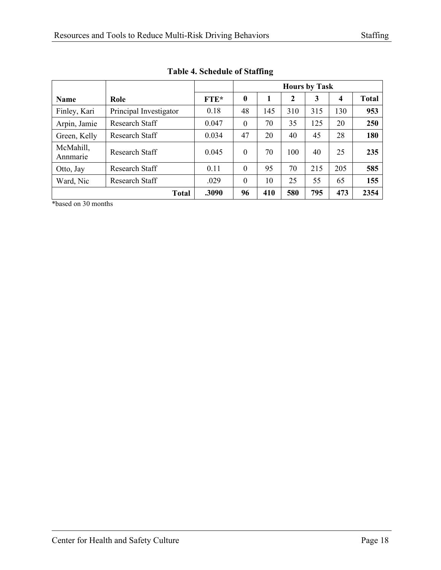<span id="page-18-0"></span>

|                       |                        |             | <b>Hours by Task</b> |     |     |     |     |              |  |  |  |
|-----------------------|------------------------|-------------|----------------------|-----|-----|-----|-----|--------------|--|--|--|
| <b>Name</b>           | Role                   | <b>FTE*</b> | $\boldsymbol{0}$     |     | 2   | 3   | 4   | <b>Total</b> |  |  |  |
| Finley, Kari          | Principal Investigator | 0.18        | 48                   | 145 | 310 | 315 | 130 | 953          |  |  |  |
| Arpin, Jamie          | Research Staff         | 0.047       | $\theta$             | 70  | 35  | 125 | 20  | 250          |  |  |  |
| Green, Kelly          | Research Staff         | 0.034       | 47                   | 20  | 40  | 45  | 28  | 180          |  |  |  |
| McMahill,<br>Annmarie | Research Staff         | 0.045       | $\overline{0}$       | 70  | 100 | 40  | 25  | 235          |  |  |  |
| Otto, Jay             | Research Staff         | 0.11        | $\theta$             | 95  | 70  | 215 | 205 | 585          |  |  |  |
| Ward, Nic             | Research Staff         | .029        | $\theta$             | 10  | 25  | 55  | 65  | 155          |  |  |  |
|                       | <b>Total</b>           | .3090       | 96                   | 410 | 580 | 795 | 473 | 2354         |  |  |  |

**Table 4. Schedule of Staffing**

\*based on 30 months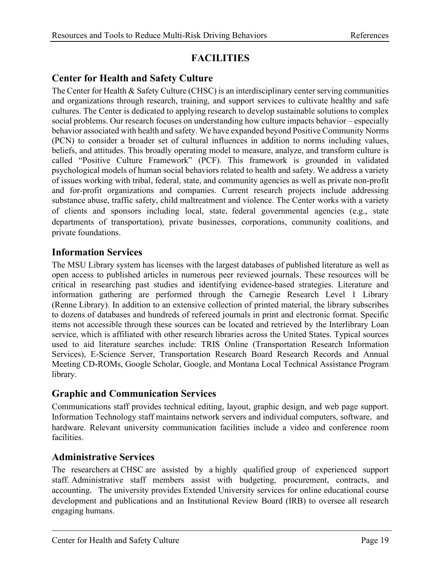## **FACILITIES**

### <span id="page-19-1"></span><span id="page-19-0"></span>**Center for Health and Safety Culture**

The Center for Health  $\&$  Safety Culture (CHSC) is an interdisciplinary center serving communities and organizations through research, training, and support services to cultivate healthy and safe cultures. The Center is dedicated to applying research to develop sustainable solutions to complex social problems. Our research focuses on understanding how culture impacts behavior – especially behavior associated with health and safety. We have expanded beyond Positive Community Norms (PCN) to consider a broader set of cultural influences in addition to norms including values, beliefs, and attitudes. This broadly operating model to measure, analyze, and transform culture is called "Positive Culture Framework" (PCF). This framework is grounded in validated psychological models of human social behaviors related to health and safety. We address a variety of issues working with tribal, federal, state, and community agencies as well as private non-profit and for-profit organizations and companies. Current research projects include addressing substance abuse, traffic safety, child maltreatment and violence. The Center works with a variety of clients and sponsors including local, state, federal governmental agencies (e.g., state departments of transportation), private businesses, corporations, community coalitions, and private foundations.

#### <span id="page-19-2"></span>**Information Services**

The MSU Library system has licenses with the largest databases of published literature as well as open access to published articles in numerous peer reviewed journals. These resources will be critical in researching past studies and identifying evidence-based strategies. Literature and information gathering are performed through the Carnegie Research Level 1 Library (Renne Library). In addition to an extensive collection of printed material, the library subscribes to dozens of databases and hundreds of refereed journals in print and electronic format. Specific items not accessible through these sources can be located and retrieved by the Interlibrary Loan service, which is affiliated with other research libraries across the United States. Typical sources used to aid literature searches include: TRIS Online (Transportation Research Information Services), E-Science Server, Transportation Research Board Research Records and Annual Meeting CD-ROMs, Google Scholar, Google, and Montana Local Technical Assistance Program library.

### <span id="page-19-3"></span>**Graphic and Communication Services**

Communications staff provides technical editing, layout, graphic design, and web page support. Information Technology staff maintains network servers and individual computers, software, and hardware. Relevant university communication facilities include a video and conference room facilities.

### <span id="page-19-4"></span>**Administrative Services**

The researchers at CHSC are assisted by a highly qualified group of experienced support staff. Administrative staff members assist with budgeting, procurement, contracts, and accounting. The university provides Extended University services for online educational course development and publications and an Institutional Review Board (IRB) to oversee all research engaging humans.